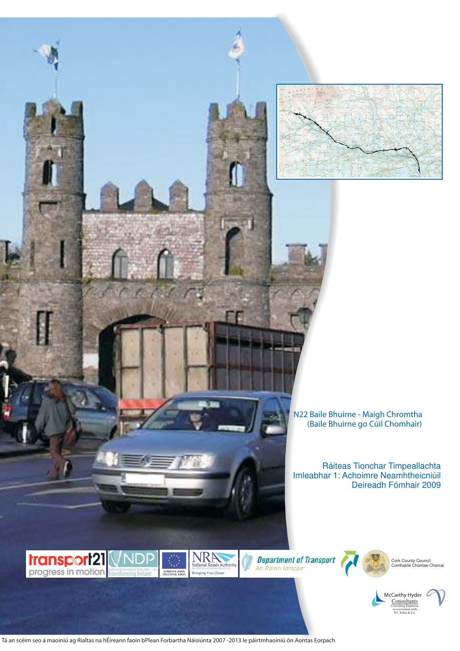

**N22 Baile Bhuirne - Maigh Chromtha (Baile Bhuirne go Cúil Chomhair)**

Ráiteas Tionchar Timpeallachta Imleabhar 1: Achoimre Neamhtheicniúil Deireadh Fómhair 2009









Cork County Council Comhairle Chontae Chorcai



Tá an scéim seo á maoiniú ag Rialtas na hÉireann faoin bPlean Forbartha Náisiúnta 2007 -2013 le páirtmhaoiniú ón Aontas Eorpach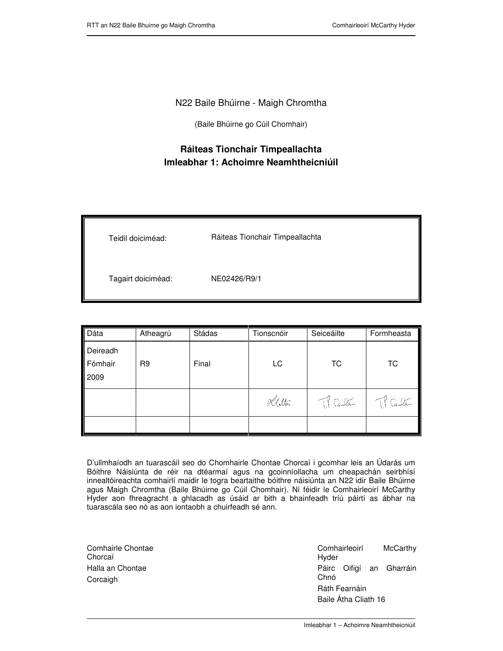## N22 Baile Bhúirne - Maigh Chromtha

(Baile Bhúirne go Cúil Chomhair)

## **Ráiteas Tionchair Timpeallachta Imleabhar 1: Achoimre Neamhtheicniúil**

| Teidil doiciméad:  | Ráiteas Tionchair Timpeallachta |
|--------------------|---------------------------------|
| Tagairt doiciméad: | NE02426/R9/1                    |

| Dáta                        | Atheagrú       | Stádas | Tionscnóir | Seiceáilte  | Formheasta  |
|-----------------------------|----------------|--------|------------|-------------|-------------|
| Deireadh<br>Fómhair<br>2009 | R <sub>9</sub> | Final  | LC         | <b>TC</b>   | <b>TC</b>   |
|                             |                |        | Khttu      | $\pi$ Calle | $\pi$ Calle |
|                             |                |        |            |             |             |

D'ullmhaíodh an tuarascáil seo do Chomhairle Chontae Chorcaí i gcomhar leis an Údarás um Bóithre Náisiúnta de réir na dtéarmaí agus na gcoinníollacha um cheapachán seirbhísí innealtóireachta comhairlí maidir le togra beartaithe bóithre náisiúnta an N22 idir Baile Bhúirne agus Maigh Chromtha (Baile Bhúirne go Cúil Chomhair). Ní féidir le Comhairleoirí McCarthy Hyder aon fhreagracht a ghlacadh as úsáid ar bith a bhainfeadh tríú páirtí as ábhar na tuarascála seo nó as aon iontaobh a chuirfeadh sé ann.

| Comhairle Chontae<br>Chorcaí |
|------------------------------|
| Halla an Chontae             |
| Corcaigh                     |

l

 Comhairleoirí McCarthy Hyder Páirc Oifigí an Gharráin Chnó Ráth Fearnáin Baile Átha Cliath 16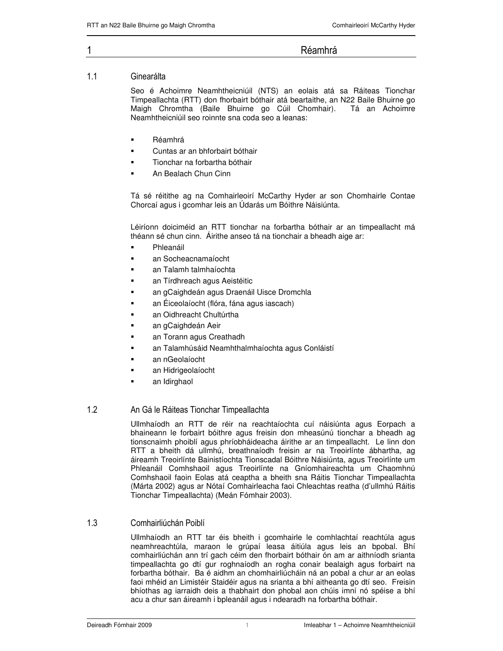## $1 \qquad \qquad$

Réamhrá

#### $1.1$ Ginearálta

Seo é Achoimre Neamhtheicniúil (NTS) an eolais atá sa Ráiteas Tionchar Timpeallachta (RTT) don fhorbairt bóthair atá beartaithe, an N22 Baile Bhuirne go Maigh Chromtha (Baile Bhuirne go Cúil Chomhair). Tá an Achoimre Neamhtheicniúil seo roinnte sna coda seo a leanas:

- Réamhrá
- Cuntas ar an bhforbairt bóthair
- Tionchar na forbartha bóthair
- An Bealach Chun Cinn

Tá sé réitithe ag na Comhairleoirí McCarthy Hyder ar son Chomhairle Contae Chorcaí agus i gcomhar leis an Údarás um Bóithre Náisiúnta.

Léiríonn doiciméid an RTT tionchar na forbartha bóthair ar an timpeallacht má théann sé chun cinn. Áirithe anseo tá na tionchair a bheadh aige ar:

- Phleanáil
- an Socheacnamaíocht
- an Talamh talmhaíochta
- an Tírdhreach agus Aeistéitic
- an gCaighdeán agus Draenáil Uisce Dromchla
- an Éiceolaíocht (flóra, fána agus iascach)
- an Oidhreacht Chultúrtha
- an gCaighdeán Aeir
- an Torann agus Creathadh
- an Talamhúsáid Neamhthalmhaíochta agus Conláistí
- an nGeolaíocht
- an Hidrigeolaíocht
- an Idirghaol

#### $1.2$ 2 **An Gá le Ráiteas Tionchar Timpeallachta**

Ullmhaíodh an RTT de réir na reachtaíochta cuí náisiúnta agus Eorpach a bhaineann le forbairt bóithre agus freisin don mheasúnú tionchar a bheadh ag tionscnaimh phoiblí agus phríobháideacha áirithe ar an timpeallacht. Le linn don RTT a bheith dá ullmhú, breathnaíodh freisin ar na Treoirlínte ábhartha, ag áireamh Treoirlínte Bainistíochta Tionscadal Bóithre Náisiúnta, agus Treoirlínte um Phleanáil Comhshaoil agus Treoirlínte na Gníomhaireachta um Chaomhnú Comhshaoil faoin Eolas atá ceaptha a bheith sna Ráitis Tionchar Timpeallachta (Márta 2002) agus ar Nótaí Comhairleacha faoi Chleachtas reatha (d'ullmhú Ráitis Tionchar Timpeallachta) (Meán Fómhair 2003).

#### $1.3$ 3 Comhairliúchán Poiblí

Ullmhaíodh an RTT tar éis bheith i gcomhairle le comhlachtaí reachtúla agus neamhreachtúla, maraon le grúpaí leasa áitiúla agus leis an bpobal. Bhí comhairliúchán ann trí gach céim den fhorbairt bóthair ón am ar aithníodh srianta timpeallachta go dtí gur roghnaíodh an rogha conair bealaigh agus forbairt na forbartha bóthair. Ba é aidhm an chomhairliúcháin ná an pobal a chur ar an eolas faoi mhéid an Limistéir Staidéir agus na srianta a bhí aitheanta go dtí seo. Freisin bhíothas ag iarraidh deis a thabhairt don phobal aon chúis imní nó spéise a bhí acu a chur san áireamh i bpleanáil agus i ndearadh na forbartha bóthair.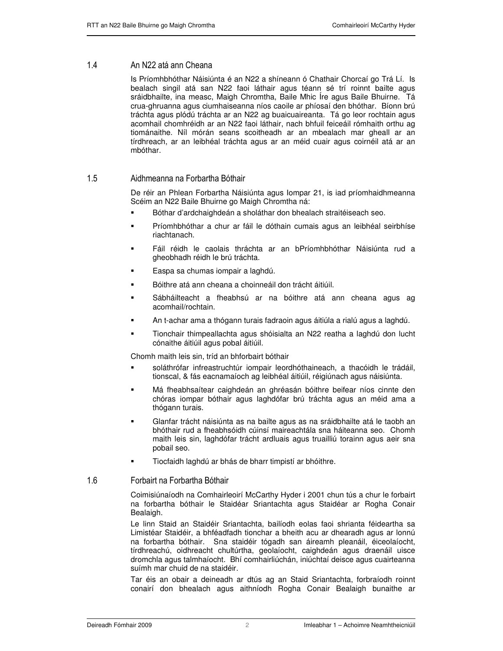#### $1.4$ 4 An N22 atá ann Cheana

Is Príomhbhóthar Náisiúnta é an N22 a shíneann ó Chathair Chorcaí go Trá Lí. Is bealach singil atá san N22 faoi láthair agus téann sé trí roinnt bailte agus sráidbhailte, ina measc, Maigh Chromtha, Baile Mhic Íre agus Baile Bhuirne. Tá crua-ghruanna agus ciumhaiseanna níos caoile ar phíosaí den bhóthar. Bíonn brú tráchta agus plódú tráchta ar an N22 ag buaicuaireanta. Tá go leor rochtain agus acomhail chomhréidh ar an N22 faoi láthair, nach bhfuil feiceáil rómhaith orthu ag tiománaithe. Níl mórán seans scoitheadh ar an mbealach mar gheall ar an tírdhreach, ar an leibhéal tráchta agus ar an méid cuair agus coirnéil atá ar an mbóthar.

#### $1.5$ 5 Aidhmeanna na Forbartha Bóthair

De réir an Phlean Forbartha Náisiúnta agus Iompar 21, is iad príomhaidhmeanna Scéim an N22 Baile Bhuirne go Maigh Chromtha ná:

- Bóthar d'ardchaighdeán a sholáthar don bhealach straitéiseach seo.
- Príomhbhóthar a chur ar fáil le dóthain cumais agus an leibhéal seirbhíse riachtanach.
- Fáil réidh le caolais thráchta ar an bPríomhbhóthar Náisiúnta rud a gheobhadh réidh le brú tráchta.
- Easpa sa chumas iompair a laghdú.
- Bóithre atá ann cheana a choinneáil don trácht áitiúil.
- Sábháilteacht a fheabhsú ar na bóithre atá ann cheana agus ag acomhail/rochtain.
- An t-achar ama a thógann turais fadraoin agus áitiúla a rialú agus a laghdú.
- Tionchair thimpeallachta agus shóisialta an N22 reatha a laghdú don lucht cónaithe áitiúil agus pobal áitiúil.

Chomh maith leis sin, tríd an bhforbairt bóthair

- soláthrófar infreastruchtúr iompair leordhóthaineach, a thacóidh le trádáil, tionscal, & fás eacnamaíoch ag leibhéal áitiúil, réigiúnach agus náisiúnta.
- Má fheabhsaítear caighdeán an ghréasán bóithre beifear níos cinnte den chóras iompar bóthair agus laghdófar brú tráchta agus an méid ama a thógann turais.
- Glanfar trácht náisiúnta as na bailte agus as na sráidbhailte atá le taobh an bhóthair rud a fheabhsóidh cúinsí maireachtála sna háiteanna seo. Chomh maith leis sin, laghdófar trácht ardluais agus truailliú torainn agus aeir sna pobail seo.
- Tiocfaidh laghdú ar bhás de bharr timpistí ar bhóithre.

#### $1.6$ 6 Forbairt na Forbartha Bóthair

Coimisiúnaíodh na Comhairleoirí McCarthy Hyder i 2001 chun tús a chur le forbairt na forbartha bóthair le Staidéar Sriantachta agus Staidéar ar Rogha Conair Bealaigh.

Le linn Staid an Staidéir Sriantachta, bailíodh eolas faoi shrianta féideartha sa Limistéar Staidéir, a bhféadfadh tionchar a bheith acu ar dhearadh agus ar lonnú na forbartha bóthair. Sna staidéir tógadh san áireamh pleanáil, éiceolaíocht, tírdhreachú, oidhreacht chultúrtha, geolaíocht, caighdeán agus draenáil uisce dromchla agus talmhaíocht. Bhí comhairliúchán, iniúchtaí deisce agus cuairteanna suímh mar chuid de na staidéir.

Tar éis an obair a deineadh ar dtús ag an Staid Sriantachta, forbraíodh roinnt conairí don bhealach agus aithníodh Rogha Conair Bealaigh bunaithe ar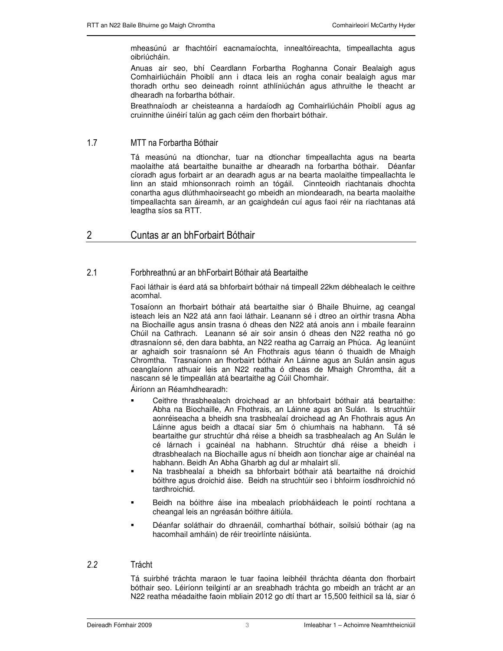mheasúnú ar fhachtóirí eacnamaíochta, innealtóireachta, timpeallachta agus oibriúcháin.

Anuas air seo, bhí Ceardlann Forbartha Roghanna Conair Bealaigh agus Comhairliúcháin Phoiblí ann i dtaca leis an rogha conair bealaigh agus mar thoradh orthu seo deineadh roinnt athlíniúchán agus athruithe le theacht ar dhearadh na forbartha bóthair.

Breathnaíodh ar cheisteanna a hardaíodh ag Comhairliúcháin Phoiblí agus ag cruinnithe úinéirí talún ag gach céim den fhorbairt bóthair.

## $1.7$ 7 MTT na Forbartha Bóthair

Tá measúnú na dtionchar, tuar na dtionchar timpeallachta agus na bearta maolaithe atá beartaithe bunaithe ar dhearadh na forbartha bóthair. Déanfar cíoradh agus forbairt ar an dearadh agus ar na bearta maolaithe timpeallachta le linn an staid mhionsonrach roimh an tógáil. Cinnteoidh riachtanais dhochta conartha agus dlúthmhaoirseacht go mbeidh an miondearadh, na bearta maolaithe timpeallachta san áireamh, ar an gcaighdeán cuí agus faoi réir na riachtanas atá leagtha síos sa RTT.

2 Cuntas ar an bhForbairt Bóthair

## $2.1$ 1 Forbhreathnú ar an bhForbairt Bóthair atá Beartaithe

Faoi láthair is éard atá sa bhforbairt bóthair ná timpeall 22km débhealach le ceithre acomhal.

Tosaíonn an fhorbairt bóthair atá beartaithe siar ó Bhaile Bhuirne, ag ceangal isteach leis an N22 atá ann faoi láthair. Leanann sé i dtreo an oirthir trasna Abha na Biochaille agus ansin trasna ó dheas den N22 atá anois ann i mbaile fearainn Chúil na Cathrach. Leanann sé air soir ansin ó dheas den N22 reatha nó go dtrasnaíonn sé, den dara babhta, an N22 reatha ag Carraig an Phúca. Ag leanúint ar aghaidh soir trasnaíonn sé An Fhothrais agus téann ó thuaidh de Mhaigh Chromtha. Trasnaíonn an fhorbairt bóthair An Láinne agus an Sulán ansin agus ceanglaíonn athuair leis an N22 reatha ó dheas de Mhaigh Chromtha, áit a nascann sé le timpeallán atá beartaithe ag Cúil Chomhair.

Áiríonn an Réamhdhearadh:

- Ceithre thrasbhealach droichead ar an bhforbairt bóthair atá beartaithe: Abha na Biochaille, An Fhothrais, an Láinne agus an Sulán. Is struchtúir aonréiseacha a bheidh sna trasbhealaí droichead ag An Fhothrais agus An Láinne agus beidh a dtacaí siar 5m ó chiumhais na habhann. Tá sé beartaithe gur struchtúr dhá réise a bheidh sa trasbhealach ag An Sulán le cé lárnach i gcainéal na habhann. Struchtúr dhá réise a bheidh i dtrasbhealach na Biochaille agus ní bheidh aon tionchar aige ar chainéal na habhann. Beidh An Abha Gharbh ag dul ar mhalairt slí.
- Na trasbhealaí a bheidh sa bhforbairt bóthair atá beartaithe ná droichid bóithre agus droichid áise. Beidh na struchtúir seo i bhfoirm íosdhroichid nó tardhroichid.
- Beidh na bóithre áise ina mbealach príobháideach le pointí rochtana a cheangal leis an ngréasán bóithre áitiúla.
- Déanfar soláthair do dhraenáil, comharthaí bóthair, soilsiú bóthair (ag na hacomhail amháin) de réir treoirlínte náisiúnta.

### 2.2 **Trácht**

Tá suirbhé tráchta maraon le tuar faoina leibhéil thráchta déanta don fhorbairt bóthair seo. Léiríonn teilgintí ar an sreabhadh tráchta go mbeidh an trácht ar an N22 reatha méadaithe faoin mbliain 2012 go dtí thart ar 15,500 feithicil sa lá, siar ó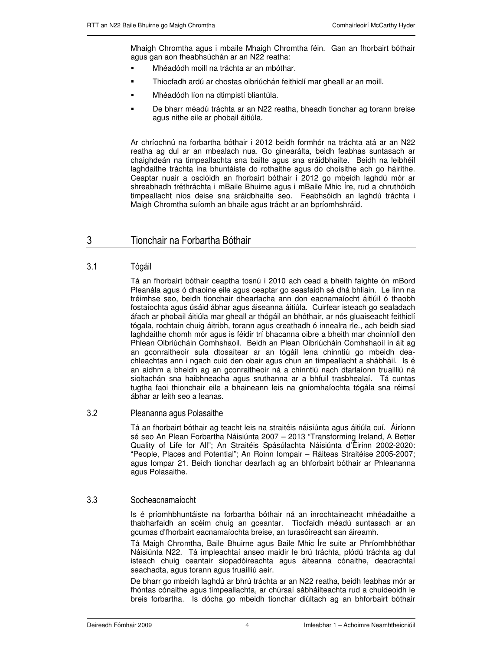Mhaigh Chromtha agus i mbaile Mhaigh Chromtha féin. Gan an fhorbairt bóthair agus gan aon fheabhsúchán ar an N22 reatha:

- Mhéadódh moill na tráchta ar an mbóthar.
- Thiocfadh ardú ar chostas oibriúchán feithiclí mar gheall ar an moill.
- Mhéadódh líon na dtimpistí bliantúla.
- De bharr méadú tráchta ar an N22 reatha, bheadh tionchar ag torann breise agus nithe eile ar phobail áitiúla.

Ar chríochnú na forbartha bóthair i 2012 beidh formhór na tráchta atá ar an N22 reatha ag dul ar an mbealach nua. Go ginearálta, beidh feabhas suntasach ar chaighdeán na timpeallachta sna bailte agus sna sráidbhailte. Beidh na leibhéil laghdaithe tráchta ina bhuntáiste do rothaithe agus do choisithe ach go háirithe. Ceaptar nuair a osclóidh an fhorbairt bóthair i 2012 go mbeidh laghdú mór ar shreabhadh tréthráchta i mBaile Bhuirne agus i mBaile Mhic Íre, rud a chruthóidh timpeallacht níos deise sna sráidbhailte seo. Feabhsóidh an laghdú tráchta i Maigh Chromtha suíomh an bhaile agus trácht ar an bpríomhshráid.

## 3 Tionchair na Forbartha Bóthair

#### $3.1$ Tógáil

Tá an fhorbairt bóthair ceaptha tosnú i 2010 ach cead a bheith faighte ón mBord Pleanála agus ó dhaoine eile agus ceaptar go seasfaidh sé dhá bhliain. Le linn na tréimhse seo, beidh tionchair dhearfacha ann don eacnamaíocht áitiúil ó thaobh fostaíochta agus úsáid ábhar agus áiseanna áitiúla. Cuirfear isteach go sealadach áfach ar phobail áitiúla mar gheall ar thógáil an bhóthair, ar nós gluaiseacht feithiclí tógala, rochtain chuig áitribh, torann agus creathadh ó innealra rle., ach beidh siad laghdaithe chomh mór agus is féidir trí bhacanna oibre a bheith mar choinníoll den Phlean Oibriúcháin Comhshaoil. Beidh an Plean Oibriúcháin Comhshaoil in áit ag an gconraitheoir sula dtosaítear ar an tógáil lena chinntiú go mbeidh deachleachtas ann i ngach cuid den obair agus chun an timpeallacht a shábháil. Is é an aidhm a bheidh ag an gconraitheoir ná a chinntiú nach dtarlaíonn truailliú ná sioltachán sna haibhneacha agus sruthanna ar a bhfuil trasbhealaí. Tá cuntas tugtha faoi thionchair eile a bhaineann leis na gníomhaíochta tógála sna réimsí ábhar ar leith seo a leanas.

#### $3.2$ 2 Pleananna agus Polasaithe

Tá an fhorbairt bóthair ag teacht leis na straitéis náisiúnta agus áitiúla cuí. Áiríonn sé seo An Plean Forbartha Náisiúnta 2007 – 2013 "Transforming Ireland, A Better Quality of Life for All"; An Straitéis Spásúlachta Náisiúnta d'Éirinn 2002-2020: "People, Places and Potential"; An Roinn Iompair – Ráiteas Straitéise 2005-2007; agus Iompar 21. Beidh tionchar dearfach ag an bhforbairt bóthair ar Phleananna agus Polasaithe.

#### $3.3$ Socheacnamaíocht

Is é príomhbhuntáiste na forbartha bóthair ná an inrochtaineacht mhéadaithe a thabharfaidh an scéim chuig an gceantar. Tiocfaidh méadú suntasach ar an gcumas d'fhorbairt eacnamaíochta breise, an turasóireacht san áireamh.

Tá Maigh Chromtha, Baile Bhuirne agus Baile Mhic Íre suite ar Phríomhbhóthar Náisiúnta N22. Tá impleachtaí anseo maidir le brú tráchta, plódú tráchta ag dul isteach chuig ceantair siopadóireachta agus áiteanna cónaithe, deacrachtaí seachadta, agus torann agus truailliú aeir.

De bharr go mbeidh laghdú ar bhrú tráchta ar an N22 reatha, beidh feabhas mór ar fhóntas cónaithe agus timpeallachta, ar chúrsaí sábháilteachta rud a chuideoidh le breis forbartha. Is dócha go mbeidh tionchar diúltach ag an bhforbairt bóthair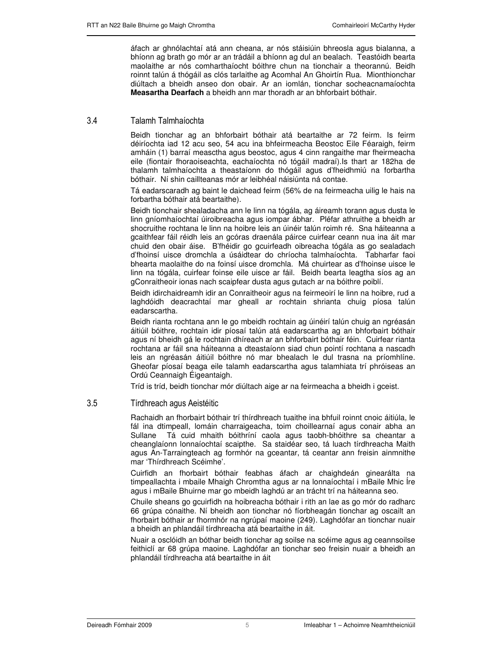áfach ar ghnólachtaí atá ann cheana, ar nós stáisiúin bhreosla agus bialanna, a bhíonn ag brath go mór ar an trádáil a bhíonn ag dul an bealach. Teastóidh bearta maolaithe ar nós comharthaíocht bóithre chun na tionchair a theorannú. Beidh roinnt talún á thógáil as clós tarlaithe ag Acomhal An Ghoirtín Rua. Mionthionchar diúltach a bheidh anseo don obair. Ar an iomlán, tionchar socheacnamaíochta **Measartha Dearfach** a bheidh ann mar thoradh ar an bhforbairt bóthair.

## $3.4$ 4 Talamh Talmhaíochta

Beidh tionchar ag an bhforbairt bóthair atá beartaithe ar 72 feirm. Is feirm déiríochta iad 12 acu seo, 54 acu ina bhfeirmeacha Beostoc Eile Féaraigh, feirm amháin (1) barraí measctha agus beostoc, agus 4 cinn rangaithe mar fheirmeacha eile (fiontair fhoraoiseachta, eachaíochta nó tógáil madraí).Is thart ar 182ha de thalamh talmhaíochta a theastaíonn do thógáil agus d'fheidhmiú na forbartha bóthair. Ní shin caillteanas mór ar leibhéal náisiúnta ná contae.

Tá eadarscaradh ag baint le daichead feirm (56% de na feirmeacha uilig le hais na forbartha bóthair atá beartaithe).

Beidh tionchair shealadacha ann le linn na tógála, ag áireamh torann agus dusta le linn gníomhaíochtaí úiroibreacha agus iompar ábhar. Pléfar athruithe a bheidh ar shocruithe rochtana le linn na hoibre leis an úinéir talún roimh ré. Sna háiteanna a gcaithfear fáil réidh leis an gcóras draenála páirce cuirfear ceann nua ina áit mar chuid den obair áise. B'fhéidir go gcuirfeadh oibreacha tógála as go sealadach d'fhoinsí uisce dromchla a úsáidtear do chríocha talmhaíochta. Tabharfar faoi bhearta maolaithe do na foinsí uisce dromchla. Má chuirtear as d'fhoinse uisce le linn na tógála, cuirfear foinse eile uisce ar fáil. Beidh bearta leagtha síos ag an gConraitheoir ionas nach scaipfear dusta agus gutach ar na bóithre poiblí.

Beidh idirchaidreamh idir an Conraitheoir agus na feirmeoirí le linn na hoibre, rud a laghdóidh deacrachtaí mar gheall ar rochtain shrianta chuig píosa talún eadarscartha.

Beidh rianta rochtana ann le go mbeidh rochtain ag úinéirí talún chuig an ngréasán áitiúil bóithre, rochtain idir píosaí talún atá eadarscartha ag an bhforbairt bóthair agus ní bheidh gá le rochtain dhíreach ar an bhforbairt bóthair féin. Cuirfear rianta rochtana ar fáil sna háiteanna a dteastaíonn siad chun pointí rochtana a nascadh leis an ngréasán áitiúil bóithre nó mar bhealach le dul trasna na príomhlíne. Gheofar píosaí beaga eile talamh eadarscartha agus talamhiata trí phróiseas an Ordú Ceannaigh Éigeantaigh.

Tríd is tríd, beidh tionchar mór diúltach aige ar na feirmeacha a bheidh i gceist.

## $3.5$ 5 **Tírdhreach agus Aeistéitic**

Rachaidh an fhorbairt bóthair trí thírdhreach tuaithe ina bhfuil roinnt cnoic áitiúla, le fál ina dtimpeall, lomáin charraigeacha, toim choillearnaí agus conair abha an Sullane Tá cuid mhaith bóithríní caola agus taobh-bhóithre sa cheantar a cheanglaíonn lonnaíochtaí scaipthe. Sa staidéar seo, tá luach tírdhreacha Maith agus An-Tarraingteach ag formhór na gceantar, tá ceantar ann freisin ainmnithe mar 'Thírdhreach Scéimhe'.

Cuirfidh an fhorbairt bóthair feabhas áfach ar chaighdeán ginearálta na timpeallachta i mbaile Mhaigh Chromtha agus ar na lonnaíochtaí i mBaile Mhic Íre agus i mBaile Bhuirne mar go mbeidh laghdú ar an trácht trí na háiteanna seo.

Chuile sheans go gcuirfidh na hoibreacha bóthair i rith an lae as go mór do radharc 66 grúpa cónaithe. Ní bheidh aon tionchar nó fíorbheagán tionchar ag oscailt an fhorbairt bóthair ar fhormhór na ngrúpaí maoine (249). Laghdófar an tionchar nuair a bheidh an phlandáil tírdhreacha atá beartaithe in áit.

Nuair a osclóidh an bóthar beidh tionchar ag soilse na scéime agus ag ceannsoilse feithiclí ar 68 grúpa maoine. Laghdófar an tionchar seo freisin nuair a bheidh an phlandáil tírdhreacha atá beartaithe in áit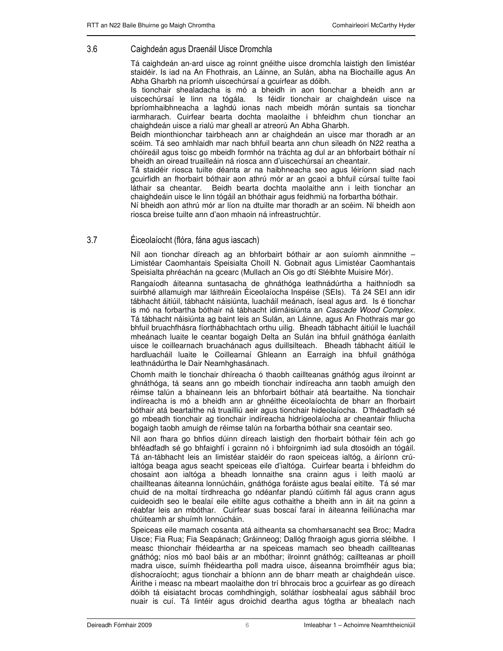#### $3.6$ 6 **Caighdeán agus Draenáil Uisce Dromchla**

Tá caighdeán an-ard uisce ag roinnt gnéithe uisce dromchla laistigh den limistéar staidéir. Is iad na An Fhothrais, an Láinne, an Sulán, abha na Biochaille agus An Abha Gharbh na príomh uiscechúrsaí a gcuirfear as dóibh.

Is tionchair shealadacha is mó a bheidh in aon tionchar a bheidh ann ar uiscechúrsaí le linn na tógála. Is féidir tionchair ar chaighdeán uisce na bpríomhaibhneacha a laghdú ionas nach mbeidh mórán suntais sa tionchar iarmharach. Cuirfear bearta dochta maolaithe i bhfeidhm chun tionchar an chaighdeán uisce a rialú mar gheall ar atreorú An Abha Gharbh.

Beidh mionthionchar tairbheach ann ar chaighdeán an uisce mar thoradh ar an scéim. Tá seo amhlaidh mar nach bhfuil bearta ann chun sileadh ón N22 reatha a chóireáil agus toisc go mbeidh formhór na tráchta ag dul ar an bhforbairt bóthair ní bheidh an oiread truailleáin ná riosca ann d'uiscechúrsaí an cheantair.

Tá staidéir riosca tuilte déanta ar na haibhneacha seo agus léiríonn siad nach gcuirfidh an fhorbairt bóthair aon athrú mór ar an gcaoi a bhfuil cúrsaí tuilte faoi láthair sa cheantar. Beidh bearta dochta maolaithe ann i leith tionchar an chaighdeáin uisce le linn tógáil an bhóthair agus feidhmiú na forbartha bóthair.

Ní bheidh aon athrú mór ar líon na dtuilte mar thoradh ar an scéim. Ní bheidh aon riosca breise tuilte ann d'aon mhaoin ná infreastruchtúr.

## $3.7$ 7 **Eiceolaíocht (flóra, fána agus iascach)**

Níl aon tionchar díreach ag an bhforbairt bóthair ar aon suíomh ainmnithe – Limistéar Caomhantais Speisialta Choill N. Gobnait agus Limistéar Caomhantais Speisialta phréachán na gcearc (Mullach an Ois go dtí Sléibhte Muisire Mór).

Rangaíodh áiteanna suntasacha de ghnáthóga leathnádúrtha a haithníodh sa suirbhé allamuigh mar láithreáin Éiceolaíocha Inspéise (SEIs). Tá 24 SEI ann idir tábhacht áitiúil, tábhacht náisiúnta, luacháil meánach, íseal agus ard. Is é tionchar is mó na forbartha bóthair ná tábhacht idirnáisiúnta an Cascade Wood Complex. Tá tábhacht náisiúnta ag baint leis an Sulán, an Láinne, agus An Fhothrais mar go bhfuil bruachfhásra fíorthábhachtach orthu uilig. Bheadh tábhacht áitiúil le luacháil mheánach luaite le ceantar bogaigh Delta an Sulán ina bhfuil gnáthóga éanlaith uisce le coillearnach bruachánach agus duillsilteach. Bheadh tábhacht áitiúil le hardluacháil luaite le Coillearnaí Ghleann an Earraigh ina bhfuil gnáthóga leathnádúrtha le Dair Neamhghasánach.

Chomh maith le tionchair dhíreacha ó thaobh caillteanas gnáthóg agus ilroinnt ar ghnáthóga, tá seans ann go mbeidh tionchair indíreacha ann taobh amuigh den réimse talún a bhaineann leis an bhforbairt bóthair atá beartaithe. Na tionchair indíreacha is mó a bheidh ann ar ghnéithe éiceolaíochta de bharr an fhorbairt bóthair atá beartaithe ná truailliú aeir agus tionchair hideolaíocha. D'fhéadfadh sé go mbeadh tionchair ag tionchair indíreacha hidrigeolaíocha ar cheantair fhliucha bogaigh taobh amuigh de réimse talún na forbartha bóthair sna ceantair seo.

Níl aon fhara go bhfios dúinn díreach laistigh den fhorbairt bóthair féin ach go bhféadfadh sé go bhfaighfí i gcrainn nó i bhfoirgnimh iad sula dtosóidh an tógáil. Tá an-tábhacht leis an limistéar staidéir do raon speiceas ialtóg, a áiríonn crúialtóga beaga agus seacht speiceas eile d'ialtóga. Cuirfear bearta i bhfeidhm do chosaint aon ialtóga a bheadh lonnaithe sna crainn agus i leith maolú ar chaillteanas áiteanna lonnúcháin, gnáthóga foráiste agus bealaí eitilte. Tá sé mar chuid de na moltaí tírdhreacha go ndéanfar plandú cúitimh fál agus crann agus cuideoidh seo le bealaí eile eitilte agus cothaithe a bheith ann in áit na gcinn a réabfar leis an mbóthar. Cuirfear suas boscaí faraí in áiteanna feiliúnacha mar chúiteamh ar shuímh lonnúcháin.

Speiceas eile mamach cosanta atá aitheanta sa chomharsanacht sea Broc; Madra Uisce; Fia Rua; Fia Seapánach; Gráinneog; Dallóg fhraoigh agus giorria sléibhe. I measc thionchair fhéideartha ar na speiceas mamach seo bheadh caillteanas gnáthóg; níos mó baol báis ar an mbóthar; ilroinnt gnáthóg; caillteanas ar phoill madra uisce, suímh fhéideartha poll madra uisce, áiseanna broimfhéir agus bia; díshocraíocht; agus tionchair a bhíonn ann de bharr meath ar chaighdeán uisce. Áirithe i measc na mbeart maolaithe don trí bhrocais broc a gcuirfear as go díreach dóibh tá eisiatacht brocas comhdhingigh, soláthar íosbhealaí agus sábháil broc nuair is cuí. Tá lintéir agus droichid deartha agus tógtha ar bhealach nach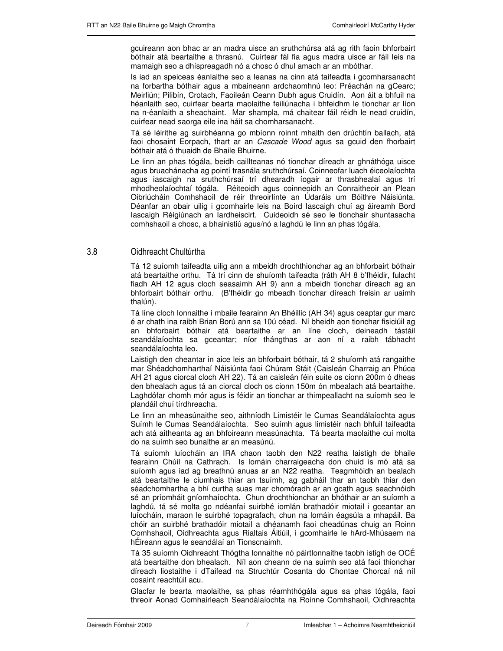gcuireann aon bhac ar an madra uisce an sruthchúrsa atá ag rith faoin bhforbairt bóthair atá beartaithe a thrasnú. Cuirtear fál fia agus madra uisce ar fáil leis na mamaigh seo a dhíspreagadh nó a chosc ó dhul amach ar an mbóthar.

Is iad an speiceas éanlaithe seo a leanas na cinn atá taifeadta i gcomharsanacht na forbartha bóthair agus a mbaineann ardchaomhnú leo: Préachán na gCearc; Meirliún; Pilibín, Crotach, Faoileán Ceann Dubh agus Cruidín. Aon áit a bhfuil na héanlaith seo, cuirfear bearta maolaithe feiliúnacha i bhfeidhm le tionchar ar líon na n-éanlaith a sheachaint. Mar shampla, má chaitear fáil réidh le nead cruidín, cuirfear nead saorga eile ina háit sa chomharsanacht.

Tá sé léirithe ag suirbhéanna go mbíonn roinnt mhaith den drúchtín ballach, atá faoi chosaint Eorpach, thart ar an Cascade Wood agus sa gcuid den fhorbairt bóthair atá ó thuaidh de Bhaile Bhuirne.

Le linn an phas tógála, beidh caillteanas nó tionchar díreach ar ghnáthóga uisce agus bruachánacha ag pointí trasnála sruthchúrsaí. Coinneofar luach éiceolaíochta agus iascaigh na sruthchúrsaí trí dhearadh íogair ar thrasbhealaí agus trí mhodheolaíochtaí tógála. Réiteoidh agus coinneoidh an Conraitheoir an Plean Oibriúcháin Comhshaoil de réir threoirlínte an Údaráis um Bóithre Náisiúnta. Déanfar an obair uilig i gcomhairle leis na Boird Iascaigh chuí ag áireamh Bord Iascaigh Réigiúnach an Iardheiscirt. Cuideoidh sé seo le tionchair shuntasacha comhshaoil a chosc, a bhainistiú agus/nó a laghdú le linn an phas tógála.

## 3.8 8 Oidhreacht Chultúrtha

Tá 12 suíomh taifeadta uilig ann a mbeidh drochthionchar ag an bhforbairt bóthair atá beartaithe orthu. Tá trí cinn de shuíomh taifeadta (ráth AH 8 b'fhéidir, fulacht fiadh AH 12 agus cloch seasaimh AH 9) ann a mbeidh tionchar díreach ag an bhforbairt bóthair orthu. (B'fhéidir go mbeadh tionchar díreach freisin ar uaimh thalún).

Tá líne cloch lonnaithe i mbaile fearainn An Bhéillic (AH 34) agus ceaptar gur marc é ar chath ina raibh Brian Ború ann sa 10ú céad. Ní bheidh aon tionchar fisiciúil ag an bhforbairt bóthair atá beartaithe ar an líne cloch, deineadh tástáil seandálaíochta sa gceantar; níor thángthas ar aon ní a raibh tábhacht seandálaíochta leo.

Laistigh den cheantar in aice leis an bhforbairt bóthair, tá 2 shuíomh atá rangaithe mar Shéadchomharthaí Náisiúnta faoi Chúram Stáit (Caisleán Charraig an Phúca AH 21 agus ciorcal cloch AH 22). Tá an caisleán féin suite os cionn 200m ó dheas den bhealach agus tá an ciorcal cloch os cionn 150m ón mbealach atá beartaithe. Laghdófar chomh mór agus is féidir an tionchar ar thimpeallacht na suíomh seo le plandáil chuí tírdhreacha.

Le linn an mheasúnaithe seo, aithníodh Limistéir le Cumas Seandálaíochta agus Suímh le Cumas Seandálaíochta. Seo suímh agus limistéir nach bhfuil taifeadta ach atá aitheanta ag an bhfoireann measúnachta. Tá bearta maolaithe cuí molta do na suímh seo bunaithe ar an measúnú.

Tá suíomh luíocháin an IRA chaon taobh den N22 reatha laistigh de bhaile fearainn Chúil na Cathrach. Is lomáin charraigeacha don chuid is mó atá sa suíomh agus iad ag breathnú anuas ar an N22 reatha. Teagmhóidh an bealach atá beartaithe le ciumhais thiar an tsuímh, ag gabháil thar an taobh thiar den séadchomhartha a bhí curtha suas mar chomóradh ar an gcath agus seachnóidh sé an príomháit gníomhaíochta. Chun drochthionchar an bhóthair ar an suíomh a laghdú, tá sé molta go ndéanfaí suirbhé iomlán brathadóir miotail i gceantar an luíocháin, maraon le suirbhé topagrafach, chun na lomáin éagsúla a mhapáil. Ba chóir an suirbhé brathadóir miotail a dhéanamh faoi cheadúnas chuig an Roinn Comhshaoil, Oidhreachta agus Rialtais Áitiúil, i gcomhairle le hArd-Mhúsaem na hÉireann agus le seandálaí an Tionscnaimh.

Tá 35 suíomh Oidhreacht Thógtha lonnaithe nó páirtlonnaithe taobh istigh de OCÉ atá beartaithe don bhealach. Níl aon cheann de na suímh seo atá faoi thionchar díreach liostaithe i dTaifead na Struchtúr Cosanta do Chontae Chorcaí ná níl cosaint reachtúil acu.

Glacfar le bearta maolaithe, sa phas réamhthógála agus sa phas tógála, faoi threoir Aonad Comhairleach Seandálaíochta na Roinne Comhshaoil, Oidhreachta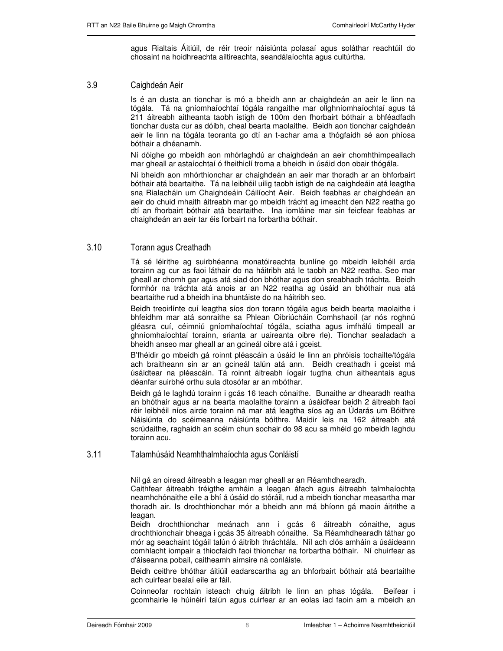agus Rialtais Áitiúil, de réir treoir náisiúnta polasaí agus soláthar reachtúil do chosaint na hoidhreachta ailtireachta, seandálaíochta agus cultúrtha.

## 3.9 4 )! 
-

Is é an dusta an tionchar is mó a bheidh ann ar chaighdeán an aeir le linn na tógála. Tá na gníomhaíochtaí tógála rangaithe mar ollghníomhaíochtaí agus tá 211 áitreabh aitheanta taobh istigh de 100m den fhorbairt bóthair a bhféadfadh tionchar dusta cur as dóibh, cheal bearta maolaithe. Beidh aon tionchar caighdeán aeir le linn na tógála teoranta go dtí an t-achar ama a thógfaidh sé aon phíosa bóthair a dhéanamh.

Ní dóighe go mbeidh aon mhórlaghdú ar chaighdeán an aeir chomhthimpeallach mar gheall ar astaíochtaí ó fheithiclí troma a bheidh in úsáid don obair thógála.

Ní bheidh aon mhórthionchar ar chaighdeán an aeir mar thoradh ar an bhforbairt bóthair atá beartaithe. Tá na leibhéil uilig taobh istigh de na caighdeáin atá leagtha sna Rialacháin um Chaighdeáin Cáilíocht Aeir. Beidh feabhas ar chaighdeán an aeir do chuid mhaith áitreabh mar go mbeidh trácht ag imeacht den N22 reatha go dtí an fhorbairt bóthair atá beartaithe. Ina iomláine mar sin feicfear feabhas ar chaighdeán an aeir tar éis forbairt na forbartha bóthair.

### $3.10$ 10 Torann agus Creathadh

Tá sé léirithe ag suirbhéanna monatóireachta bunlíne go mbeidh leibhéil arda torainn ag cur as faoi láthair do na háitribh atá le taobh an N22 reatha. Seo mar gheall ar chomh gar agus atá siad don bhóthar agus don sreabhadh tráchta. Beidh formhór na tráchta atá anois ar an N22 reatha ag úsáid an bhóthair nua atá beartaithe rud a bheidh ina bhuntáiste do na háitribh seo.

Beidh treoirlínte cuí leagtha síos don torann tógála agus beidh bearta maolaithe i bhfeidhm mar atá sonraithe sa Phlean Oibriúcháin Comhshaoil (ar nós roghnú gléasra cuí, céimniú gníomhaíochtaí tógála, sciatha agus imfhálú timpeall ar ghníomhaíochtaí torainn, srianta ar uaireanta oibre rle). Tionchar sealadach a bheidh anseo mar gheall ar an gcineál oibre atá i gceist.

B'fhéidir go mbeidh gá roinnt pléascáin a úsáid le linn an phróisis tochailte/tógála ach braitheann sin ar an gcineál talún atá ann. Beidh creathadh i gceist má úsáidtear na pléascáin. Tá roinnt áitreabh íogair tugtha chun aitheantais agus déanfar suirbhé orthu sula dtosófar ar an mbóthar.

Beidh gá le laghdú torainn i gcás 16 teach cónaithe. Bunaithe ar dhearadh reatha an bhóthair agus ar na bearta maolaithe torainn a úsáidfear beidh 2 áitreabh faoi réir leibhéil níos airde torainn ná mar atá leagtha síos ag an Údarás um Bóithre Náisiúnta do scéimeanna náisiúnta bóithre. Maidir leis na 162 áitreabh atá scrúdaithe, raghaidh an scéim chun sochair do 98 acu sa mhéid go mbeidh laghdu torainn acu.

### $3.11$ 11 Talamhúsáid Neamhthalmhaíochta agus Conláistí

Níl gá an oiread áitreabh a leagan mar gheall ar an Réamhdhearadh.

Caithfear áitreabh tréigthe amháin a leagan áfach agus áitreabh talmhaíochta neamhchónaithe eile a bhí á úsáid do stóráil, rud a mbeidh tionchar measartha mar thoradh air. Is drochthionchar mór a bheidh ann má bhíonn gá maoin áitrithe a leagan.

Beidh drochthionchar meánach ann i gcás 6 áitreabh cónaithe, agus drochthionchair bheaga i gcás 35 áitreabh cónaithe. Sa Réamhdhearadh táthar go mór ag seachaint tógáil talún ó áitribh thráchtála. Níl ach clós amháin a úsáideann comhlacht iompair a thiocfaidh faoi thionchar na forbartha bóthair. Ní chuirfear as d'áiseanna pobail, caitheamh aimsire ná conláiste.

Beidh ceithre bhóthar áitiúil eadarscartha ag an bhforbairt bóthair atá beartaithe ach cuirfear bealaí eile ar fáil.

Coinneofar rochtain isteach chuig áitribh le linn an phas tógála. Beifear i gcomhairle le húinéirí talún agus cuirfear ar an eolas iad faoin am a mbeidh an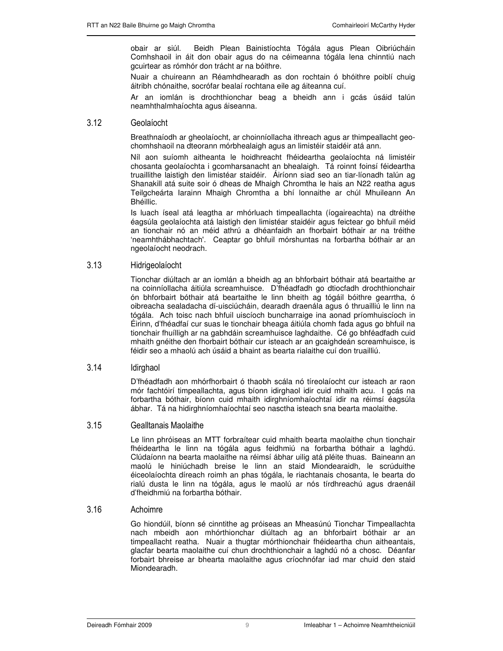obair ar siúl. Beidh Plean Bainistíochta Tógála agus Plean Oibriúcháin Comhshaoil in áit don obair agus do na céimeanna tógála lena chinntiú nach gcuirtear as rómhór don trácht ar na bóithre.

Nuair a chuireann an Réamhdhearadh as don rochtain ó bhóithre poiblí chuig áitribh chónaithe, socrófar bealaí rochtana eile ag áiteanna cuí.

Ar an iomlán is drochthionchar beag a bheidh ann i gcás úsáid talún neamhthalmhaíochta agus áiseanna.

#### $3.12$ Geolaíocht

Breathnaíodh ar gheolaíocht, ar choinníollacha ithreach agus ar thimpeallacht geochomhshaoil na dteorann mórbhealaigh agus an limistéir staidéir atá ann.

Níl aon suíomh aitheanta le hoidhreacht fhéideartha geolaíochta ná limistéir chosanta geolaíochta i gcomharsanacht an bhealaigh. Tá roinnt foinsí féideartha truaillithe laistigh den limistéar staidéir. Áiríonn siad seo an tiar-líonadh talún ag Shanakill atá suite soir ó dheas de Mhaigh Chromtha le hais an N22 reatha agus Teilgcheárta Iarainn Mhaigh Chromtha a bhí lonnaithe ar chúl Mhuileann An Bhéillic.

Is luach íseal atá leagtha ar mhórluach timpeallachta (íogaireachta) na dtréithe éagsúla geolaíochta atá laistigh den limistéar staidéir agus feictear go bhfuil méid an tionchair nó an méid athrú a dhéanfaidh an fhorbairt bóthair ar na tréithe 'neamhthábhachtach'. Ceaptar go bhfuil mórshuntas na forbartha bóthair ar an ngeolaíocht neodrach.

#### $3.13$ Hidrigeolaíocht

Tionchar diúltach ar an iomlán a bheidh ag an bhforbairt bóthair atá beartaithe ar na coinníollacha áitiúla screamhuisce. D'fhéadfadh go dtiocfadh drochthionchair ón bhforbairt bóthair atá beartaithe le linn bheith ag tógáil bóithre gearrtha, ó oibreacha sealadacha dí-uisciúcháin, dearadh draenála agus ó thruailliú le linn na tógála. Ach toisc nach bhfuil uiscíoch buncharraige ina aonad príomhuiscíoch in Éirinn, d'fhéadfaí cur suas le tionchair bheaga áitiúla chomh fada agus go bhfuil na tionchair fhuílligh ar na gabhdáin screamhuisce laghdaithe. Cé go bhféadfadh cuid mhaith gnéithe den fhorbairt bóthair cur isteach ar an gcaighdeán screamhuisce, is féidir seo a mhaolú ach úsáid a bhaint as bearta rialaithe cuí don truailliú.

#### 3.14 **Idirghaol**

D'fhéadfadh aon mhórfhorbairt ó thaobh scála nó tíreolaíocht cur isteach ar raon mór fachtóirí timpeallachta, agus bíonn idirghaol idir cuid mhaith acu. I gcás na forbartha bóthair, bíonn cuid mhaith idirghníomhaíochtaí idir na réimsí éagsúla ábhar. Tá na hidirghníomhaíochtaí seo nasctha isteach sna bearta maolaithe.

## 3.15 15 Gealltanais Maolaithe

Le linn phróiseas an MTT forbraítear cuid mhaith bearta maolaithe chun tionchair fhéideartha le linn na tógála agus feidhmiú na forbartha bóthair a laghdú. Clúdaíonn na bearta maolaithe na réimsí ábhar uilig atá pléite thuas. Baineann an maolú le hiniúchadh breise le linn an staid Miondearaidh, le scrúduithe éiceolaíochta díreach roimh an phas tógála, le riachtanais chosanta, le bearta do rialú dusta le linn na tógála, agus le maolú ar nós tírdhreachú agus draenáil d'fheidhmiú na forbartha bóthair.

#### $3.16$ Achoimre

Go hiondúil, bíonn sé cinntithe ag próiseas an Mheasúnú Tionchar Timpeallachta nach mbeidh aon mhórthionchar diúltach ag an bhforbairt bóthair ar an timpeallacht reatha. Nuair a thugtar mórthionchair fhéideartha chun aitheantais, glacfar bearta maolaithe cuí chun drochthionchair a laghdú nó a chosc. Déanfar forbairt bhreise ar bhearta maolaithe agus críochnófar iad mar chuid den staid Miondearadh.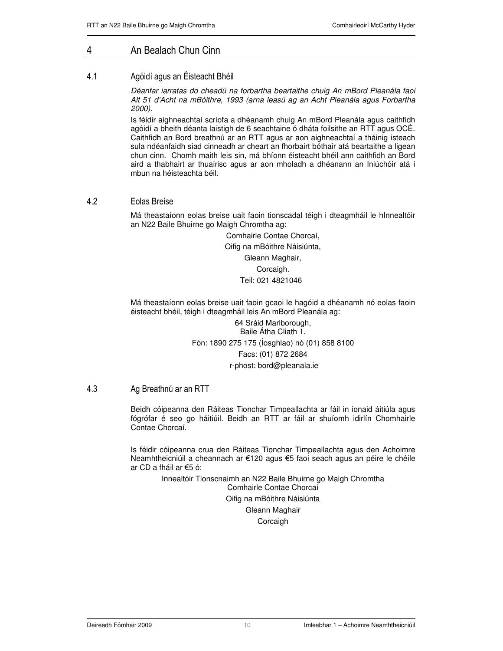# 4 An Bealach Chun Cinn

## $4.1$ 1 Magóidí agus an Éisteacht Bhéil

Déanfar iarratas do cheadú na forbartha beartaithe chuig An mBord Pleanála faoi Alt 51 d'Acht na mBóithre, 1993 (arna leasú ag an Acht Pleanála agus Forbartha 2000).

Is féidir aighneachtaí scríofa a dhéanamh chuig An mBord Pleanála agus caithfidh agóidí a bheith déanta laistigh de 6 seachtaine ó dháta foilsithe an RTT agus OCÉ. Caithfidh an Bord breathnú ar an RTT agus ar aon aighneachtaí a tháinig isteach sula ndéanfaidh siad cinneadh ar cheart an fhorbairt bóthair atá beartaithe a ligean chun cinn. Chomh maith leis sin, má bhíonn éisteacht bhéil ann caithfidh an Bord aird a thabhairt ar thuairisc agus ar aon mholadh a dhéanann an Iniúchóir atá i mbun na héisteachta béil.

## 4.2 2 Eolas Breise

Má theastaíonn eolas breise uait faoin tionscadal téigh i dteagmháil le hInnealtóir an N22 Baile Bhuirne go Maigh Chromtha ag:

> Comhairle Contae Chorcaí, Oifig na mBóithre Náisiúnta, Gleann Maghair, Corcaigh. Teil: 021 4821046

Má theastaíonn eolas breise uait faoin gcaoi le hagóid a dhéanamh nó eolas faoin éisteacht bhéil, téigh i dteagmháil leis An mBord Pleanála ag:

> 64 Sráid Marlborough, Baile Átha Cliath 1. Fón: 1890 275 175 (Íosghlao) nó (01) 858 8100 Facs: (01) 872 2684 r-phost: bord@pleanala.ie

## 4.3 3 Ag Breathnú ar an RTT

Beidh cóipeanna den Ráiteas Tionchar Timpeallachta ar fáil in ionaid áitiúla agus fógrófar é seo go háitiúil. Beidh an RTT ar fáil ar shuíomh idirlín Chomhairle Contae Chorcaí.

Is féidir cóipeanna crua den Ráiteas Tionchar Timpeallachta agus den Achoimre Neamhtheicniúil a cheannach ar €120 agus €5 faoi seach agus an péire le chéile ar CD a fháil ar  $65$  ó:

> Innealtóir Tionscnaimh an N22 Baile Bhuirne go Maigh Chromtha Comhairle Contae Chorcaí Oifig na mBóithre Náisiúnta Gleann Maghair **Corcaigh**